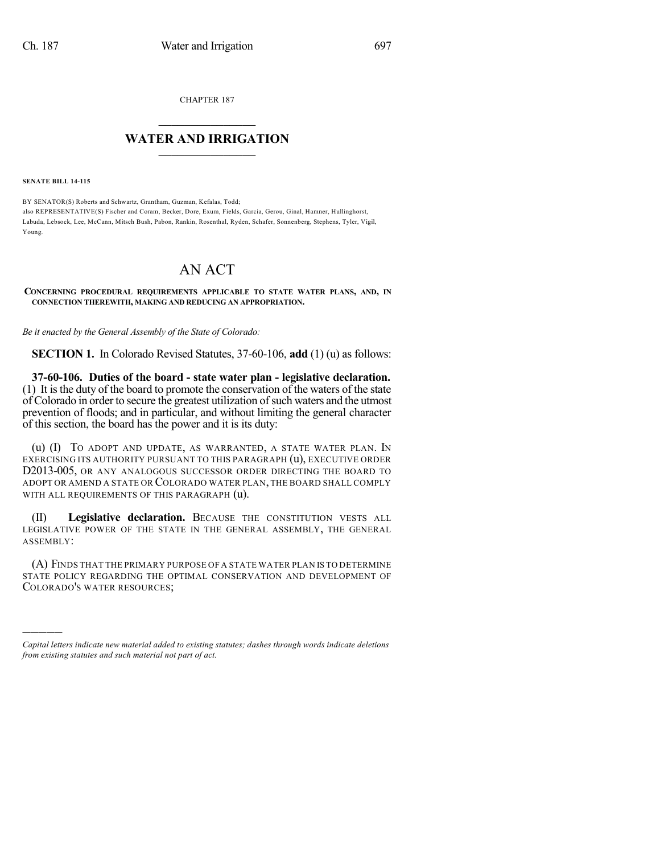CHAPTER 187

## $\mathcal{L}_\text{max}$  . The set of the set of the set of the set of the set of the set of the set of the set of the set of the set of the set of the set of the set of the set of the set of the set of the set of the set of the set **WATER AND IRRIGATION**  $\_$   $\_$

**SENATE BILL 14-115**

)))))

BY SENATOR(S) Roberts and Schwartz, Grantham, Guzman, Kefalas, Todd; also REPRESENTATIVE(S) Fischer and Coram, Becker, Dore, Exum, Fields, Garcia, Gerou, Ginal, Hamner, Hullinghorst, Labuda, Lebsock, Lee, McCann, Mitsch Bush, Pabon, Rankin, Rosenthal, Ryden, Schafer, Sonnenberg, Stephens, Tyler, Vigil, Young.

## AN ACT

## **CONCERNING PROCEDURAL REQUIREMENTS APPLICABLE TO STATE WATER PLANS, AND, IN CONNECTION THEREWITH, MAKING AND REDUCING AN APPROPRIATION.**

*Be it enacted by the General Assembly of the State of Colorado:*

**SECTION 1.** In Colorado Revised Statutes, 37-60-106, **add** (1) (u) as follows:

**37-60-106. Duties of the board - state water plan - legislative declaration.** (1) It isthe duty of the board to promote the conservation of the waters of the state of Colorado in order to secure the greatest utilization ofsuch waters and the utmost prevention of floods; and in particular, and without limiting the general character of this section, the board has the power and it is its duty:

(u) (I) TO ADOPT AND UPDATE, AS WARRANTED, A STATE WATER PLAN. IN EXERCISING ITS AUTHORITY PURSUANT TO THIS PARAGRAPH (u), EXECUTIVE ORDER D2013-005, OR ANY ANALOGOUS SUCCESSOR ORDER DIRECTING THE BOARD TO ADOPT OR AMEND A STATE OR COLORADO WATER PLAN, THE BOARD SHALL COMPLY WITH ALL REQUIREMENTS OF THIS PARAGRAPH (u).

(II) **Legislative declaration.** BECAUSE THE CONSTITUTION VESTS ALL LEGISLATIVE POWER OF THE STATE IN THE GENERAL ASSEMBLY, THE GENERAL ASSEMBLY:

(A) FINDS THAT THE PRIMARY PURPOSE OF A STATE WATER PLAN IS TO DETERMINE STATE POLICY REGARDING THE OPTIMAL CONSERVATION AND DEVELOPMENT OF COLORADO'S WATER RESOURCES;

*Capital letters indicate new material added to existing statutes; dashes through words indicate deletions from existing statutes and such material not part of act.*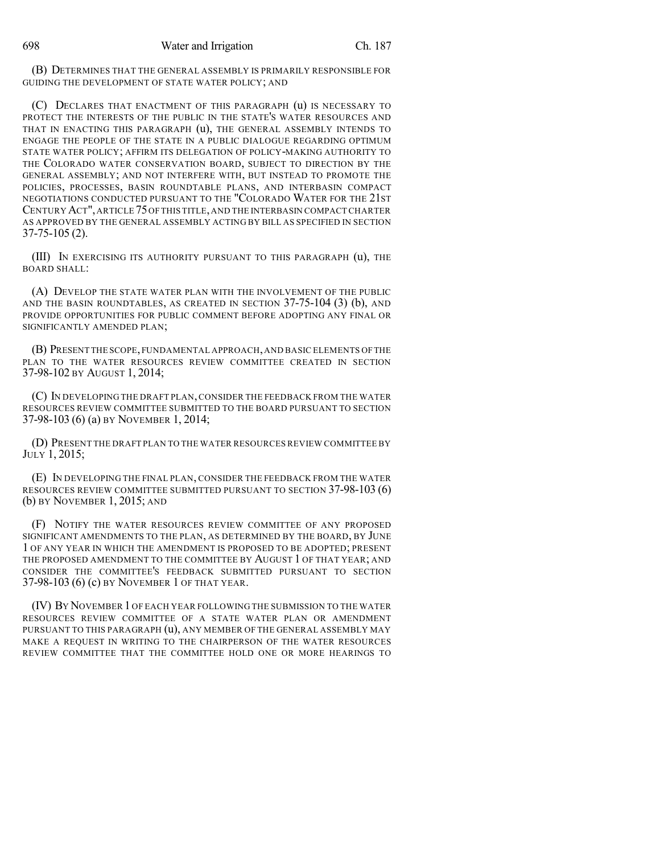(B) DETERMINES THAT THE GENERAL ASSEMBLY IS PRIMARILY RESPONSIBLE FOR GUIDING THE DEVELOPMENT OF STATE WATER POLICY; AND

(C) DECLARES THAT ENACTMENT OF THIS PARAGRAPH (u) IS NECESSARY TO PROTECT THE INTERESTS OF THE PUBLIC IN THE STATE'S WATER RESOURCES AND THAT IN ENACTING THIS PARAGRAPH (u), THE GENERAL ASSEMBLY INTENDS TO ENGAGE THE PEOPLE OF THE STATE IN A PUBLIC DIALOGUE REGARDING OPTIMUM STATE WATER POLICY; AFFIRM ITS DELEGATION OF POLICY-MAKING AUTHORITY TO THE COLORADO WATER CONSERVATION BOARD, SUBJECT TO DIRECTION BY THE GENERAL ASSEMBLY; AND NOT INTERFERE WITH, BUT INSTEAD TO PROMOTE THE POLICIES, PROCESSES, BASIN ROUNDTABLE PLANS, AND INTERBASIN COMPACT NEGOTIATIONS CONDUCTED PURSUANT TO THE "COLORADO WATER FOR THE 21ST CENTURY ACT",ARTICLE 75OFTHIS TITLE,AND THE INTERBASIN COMPACTCHARTER AS APPROVED BY THE GENERAL ASSEMBLY ACTING BY BILL AS SPECIFIED IN SECTION 37-75-105 (2).

(III) IN EXERCISING ITS AUTHORITY PURSUANT TO THIS PARAGRAPH (u), THE BOARD SHALL:

(A) DEVELOP THE STATE WATER PLAN WITH THE INVOLVEMENT OF THE PUBLIC AND THE BASIN ROUNDTABLES, AS CREATED IN SECTION 37-75-104 (3) (b), AND PROVIDE OPPORTUNITIES FOR PUBLIC COMMENT BEFORE ADOPTING ANY FINAL OR SIGNIFICANTLY AMENDED PLAN;

(B) PRESENT THE SCOPE,FUNDAMENTAL APPROACH,AND BASIC ELEMENTS OFTHE PLAN TO THE WATER RESOURCES REVIEW COMMITTEE CREATED IN SECTION 37-98-102 BY AUGUST 1, 2014;

(C) IN DEVELOPING THE DRAFT PLAN,CONSIDER THE FEEDBACK FROM THE WATER RESOURCES REVIEW COMMITTEE SUBMITTED TO THE BOARD PURSUANT TO SECTION 37-98-103 (6) (a) BY NOVEMBER 1, 2014;

(D) PRESENT THE DRAFT PLAN TO THE WATER RESOURCES REVIEW COMMITTEE BY JULY 1, 2015;

(E) IN DEVELOPING THE FINAL PLAN, CONSIDER THE FEEDBACK FROM THE WATER RESOURCES REVIEW COMMITTEE SUBMITTED PURSUANT TO SECTION 37-98-103 (6) (b) BY NOVEMBER 1, 2015; AND

(F) NOTIFY THE WATER RESOURCES REVIEW COMMITTEE OF ANY PROPOSED SIGNIFICANT AMENDMENTS TO THE PLAN, AS DETERMINED BY THE BOARD, BY JUNE 1 OF ANY YEAR IN WHICH THE AMENDMENT IS PROPOSED TO BE ADOPTED; PRESENT THE PROPOSED AMENDMENT TO THE COMMITTEE BY AUGUST 1 OF THAT YEAR; AND CONSIDER THE COMMITTEE'S FEEDBACK SUBMITTED PURSUANT TO SECTION 37-98-103 (6) (c) BY NOVEMBER 1 OF THAT YEAR.

(IV) BY NOVEMBER 1 OF EACH YEAR FOLLOWING THE SUBMISSION TO THE WATER RESOURCES REVIEW COMMITTEE OF A STATE WATER PLAN OR AMENDMENT PURSUANT TO THIS PARAGRAPH (u), ANY MEMBER OF THE GENERAL ASSEMBLY MAY MAKE A REQUEST IN WRITING TO THE CHAIRPERSON OF THE WATER RESOURCES REVIEW COMMITTEE THAT THE COMMITTEE HOLD ONE OR MORE HEARINGS TO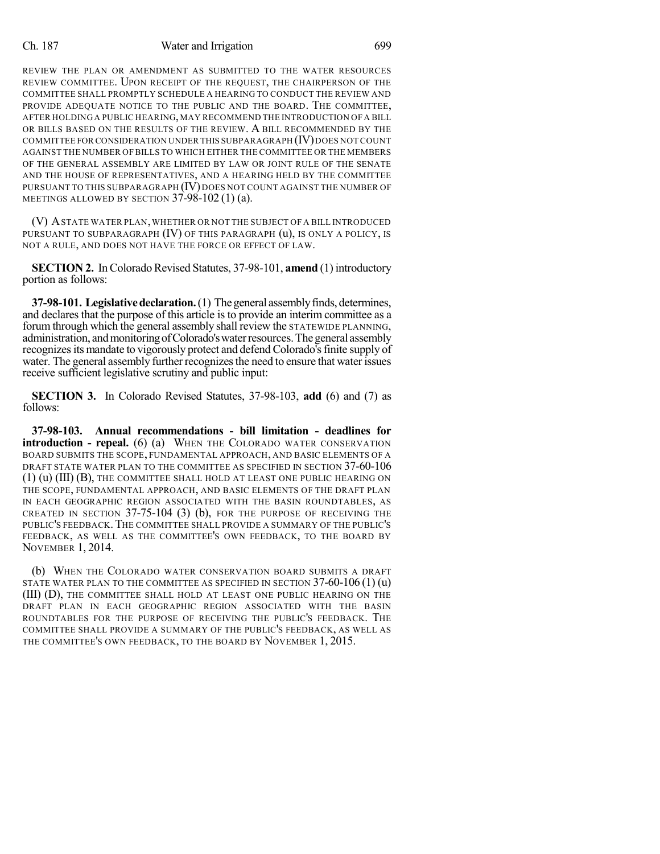## Ch. 187 Water and Irrigation 699

REVIEW THE PLAN OR AMENDMENT AS SUBMITTED TO THE WATER RESOURCES REVIEW COMMITTEE. UPON RECEIPT OF THE REQUEST, THE CHAIRPERSON OF THE COMMITTEE SHALL PROMPTLY SCHEDULE A HEARING TO CONDUCT THE REVIEW AND PROVIDE ADEQUATE NOTICE TO THE PUBLIC AND THE BOARD. THE COMMITTEE, AFTER HOLDINGA PUBLIC HEARING, MAY RECOMMEND THE INTRODUCTION OF A BILL OR BILLS BASED ON THE RESULTS OF THE REVIEW. A BILL RECOMMENDED BY THE COMMITTEE FOR CONSIDERATION UNDER THIS SUBPARAGRAPH (IV) DOES NOT COUNT AGAINST THE NUMBER OF BILLS TO WHICH EITHER THE COMMITTEE OR THE MEMBERS OF THE GENERAL ASSEMBLY ARE LIMITED BY LAW OR JOINT RULE OF THE SENATE AND THE HOUSE OF REPRESENTATIVES, AND A HEARING HELD BY THE COMMITTEE PURSUANT TO THIS SUBPARAGRAPH (IV) DOES NOT COUNT AGAINST THE NUMBER OF MEETINGS ALLOWED BY SECTION 37-98-102 (1) (a).

(V) ASTATE WATER PLAN,WHETHER OR NOT THE SUBJECT OF A BILL INTRODUCED PURSUANT TO SUBPARAGRAPH (IV) OF THIS PARAGRAPH (u), IS ONLY A POLICY, IS NOT A RULE, AND DOES NOT HAVE THE FORCE OR EFFECT OF LAW.

**SECTION 2.** In Colorado Revised Statutes, 37-98-101, **amend** (1) introductory portion as follows:

**37-98-101. Legislativedeclaration.**(1) Thegeneral assemblyfinds, determines, and declares that the purpose of this article is to provide an interim committee as a forum through which the general assembly shall review the STATEWIDE PLANNING, administration, and monitoring of Colorado's water resources. The general assembly recognizes its mandate to vigorously protect and defend Colorado's finite supply of water. The general assembly further recognizes the need to ensure that water issues receive sufficient legislative scrutiny and public input:

**SECTION 3.** In Colorado Revised Statutes, 37-98-103, **add** (6) and (7) as follows:

**37-98-103. Annual recommendations - bill limitation - deadlines for introduction - repeal.** (6) (a) WHEN THE COLORADO WATER CONSERVATION BOARD SUBMITS THE SCOPE, FUNDAMENTAL APPROACH, AND BASIC ELEMENTS OF A DRAFT STATE WATER PLAN TO THE COMMITTEE AS SPECIFIED IN SECTION 37-60-106 (1) (u) (III) (B), THE COMMITTEE SHALL HOLD AT LEAST ONE PUBLIC HEARING ON THE SCOPE, FUNDAMENTAL APPROACH, AND BASIC ELEMENTS OF THE DRAFT PLAN IN EACH GEOGRAPHIC REGION ASSOCIATED WITH THE BASIN ROUNDTABLES, AS CREATED IN SECTION  $37-75-104$  (3) (b), FOR THE PURPOSE OF RECEIVING THE PUBLIC'S FEEDBACK.THE COMMITTEE SHALL PROVIDE A SUMMARY OF THE PUBLIC'S FEEDBACK, AS WELL AS THE COMMITTEE'S OWN FEEDBACK, TO THE BOARD BY NOVEMBER 1, 2014.

(b) WHEN THE COLORADO WATER CONSERVATION BOARD SUBMITS A DRAFT STATE WATER PLAN TO THE COMMITTEE AS SPECIFIED IN SECTION  $37-60-106(1)(u)$ (III) (D), THE COMMITTEE SHALL HOLD AT LEAST ONE PUBLIC HEARING ON THE DRAFT PLAN IN EACH GEOGRAPHIC REGION ASSOCIATED WITH THE BASIN ROUNDTABLES FOR THE PURPOSE OF RECEIVING THE PUBLIC'S FEEDBACK. THE COMMITTEE SHALL PROVIDE A SUMMARY OF THE PUBLIC'S FEEDBACK, AS WELL AS THE COMMITTEE'S OWN FEEDBACK, TO THE BOARD BY NOVEMBER 1, 2015.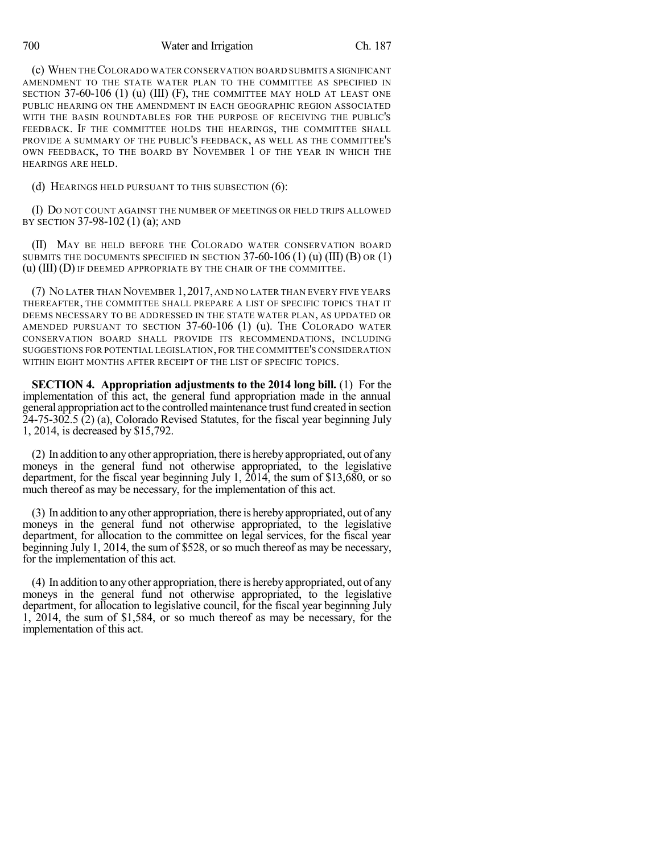700 Water and Irrigation Ch. 187

(c) WHEN THECOLORADO WATER CONSERVATION BOARD SUBMITS A SIGNIFICANT AMENDMENT TO THE STATE WATER PLAN TO THE COMMITTEE AS SPECIFIED IN SECTION 37-60-106 (1) (u) (III) (F), THE COMMITTEE MAY HOLD AT LEAST ONE PUBLIC HEARING ON THE AMENDMENT IN EACH GEOGRAPHIC REGION ASSOCIATED WITH THE BASIN ROUNDTABLES FOR THE PURPOSE OF RECEIVING THE PUBLIC'S FEEDBACK. IF THE COMMITTEE HOLDS THE HEARINGS, THE COMMITTEE SHALL PROVIDE A SUMMARY OF THE PUBLIC'S FEEDBACK, AS WELL AS THE COMMITTEE'S OWN FEEDBACK, TO THE BOARD BY NOVEMBER 1 OF THE YEAR IN WHICH THE HEARINGS ARE HELD.

(d) HEARINGS HELD PURSUANT TO THIS SUBSECTION (6):

(I) DO NOT COUNT AGAINST THE NUMBER OF MEETINGS OR FIELD TRIPS ALLOWED BY SECTION 37-98-102 (1) (a); AND

(II) MAY BE HELD BEFORE THE COLORADO WATER CONSERVATION BOARD SUBMITS THE DOCUMENTS SPECIFIED IN SECTION 37-60-106 (1) (u) (III) (B) OR (1) (u) (III) (D) IF DEEMED APPROPRIATE BY THE CHAIR OF THE COMMITTEE.

(7) NO LATER THAN NOVEMBER 1,2017, AND NO LATER THAN EVERY FIVE YEARS THEREAFTER, THE COMMITTEE SHALL PREPARE A LIST OF SPECIFIC TOPICS THAT IT DEEMS NECESSARY TO BE ADDRESSED IN THE STATE WATER PLAN, AS UPDATED OR AMENDED PURSUANT TO SECTION 37-60-106 (1) (u). THE COLORADO WATER CONSERVATION BOARD SHALL PROVIDE ITS RECOMMENDATIONS, INCLUDING SUGGESTIONS FOR POTENTIAL LEGISLATION, FOR THE COMMITTEE'S CONSIDERATION WITHIN EIGHT MONTHS AFTER RECEIPT OF THE LIST OF SPECIFIC TOPICS.

**SECTION 4. Appropriation adjustments to the 2014 long bill.** (1) For the implementation of this act, the general fund appropriation made in the annual general appropriation act to the controlled maintenance trust fund created in section 24-75-302.5 (2) (a), Colorado Revised Statutes, for the fiscal year beginning July 1, 2014, is decreased by \$15,792.

(2) In addition to anyother appropriation, there is herebyappropriated, out of any moneys in the general fund not otherwise appropriated, to the legislative department, for the fiscal year beginning July 1, 2014, the sum of \$13,680, or so much thereof as may be necessary, for the implementation of this act.

(3) In addition to anyother appropriation, there is herebyappropriated, out of any moneys in the general fund not otherwise appropriated, to the legislative department, for allocation to the committee on legal services, for the fiscal year beginning July 1, 2014, the sum of \$528, or so much thereof as may be necessary, for the implementation of this act.

(4) In addition to anyother appropriation, there is herebyappropriated, out of any moneys in the general fund not otherwise appropriated, to the legislative department, for allocation to legislative council, for the fiscal year beginning July 1, 2014, the sum of \$1,584, or so much thereof as may be necessary, for the implementation of this act.